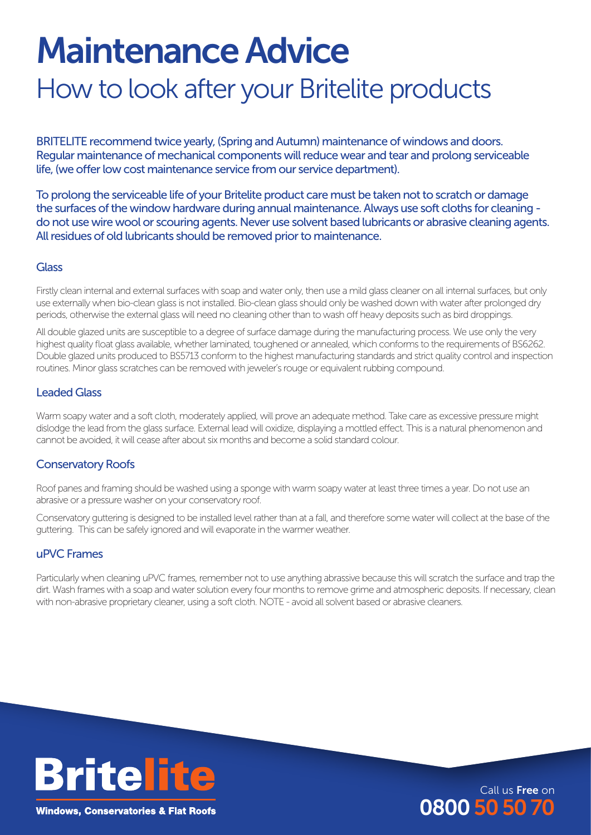# Maintenance Advice

# How to look after your Britelite products

BRITELITE recommend twice yearly, (Spring and Autumn) maintenance of windows and doors. Regular maintenance of mechanical components will reduce wear and tear and prolong serviceable life, (we offer low cost maintenance service from our service department).

To prolong the serviceable life of your Britelite product care must be taken not to scratch or damage the surfaces of the window hardware during annual maintenance. Always use soft cloths for cleaning do not use wire wool or scouring agents. Never use solvent based lubricants or abrasive cleaning agents. All residues of old lubricants should be removed prior to maintenance.

#### **Glass**

Firstly clean internal and external surfaces with soap and water only, then use a mild glass cleaner on all internal surfaces, but only use externally when bio-clean glass is not installed. Bio-clean glass should only be washed down with water after prolonged dry periods, otherwise the external glass will need no cleaning other than to wash off heavy deposits such as bird droppings.

All double glazed units are susceptible to a degree of surface damage during the manufacturing process. We use only the very highest quality float glass available, whether laminated, toughened or annealed, which conforms to the requirements of BS6262. Double glazed units produced to BS5713 conform to the highest manufacturing standards and strict quality control and inspection routines. Minor glass scratches can be removed with jeweler's rouge or equivalent rubbing compound.

# Leaded Glass

Warm soapy water and a soft cloth, moderately applied, will prove an adequate method. Take care as excessive pressure might dislodge the lead from the glass surface. External lead will oxidize, displaying a mottled effect. This is a natural phenomenon and cannot be avoided, it will cease after about six months and become a solid standard colour.

### Conservatory Roofs

Roof panes and framing should be washed using a sponge with warm soapy water at least three times a year. Do not use an abrasive or a pressure washer on your conservatory roof.

Conservatory guttering is designed to be installed level rather than at a fall, and therefore some water will collect at the base of the guttering. This can be safely ignored and will evaporate in the warmer weather.

### uPVC Frames

Particularly when cleaning uPVC frames, remember not to use anything abrassive because this will scratch the surface and trap the dirt. Wash frames with a soap and water solution every four months to remove grime and atmospheric deposits. If necessary, clean with non-abrasive proprietary cleaner, using a soft cloth. NOTE - avoid all solvent based or abrasive cleaners.

Call us Free on

080050 50 70



**Windows, Conservatories & Flat Roofs**